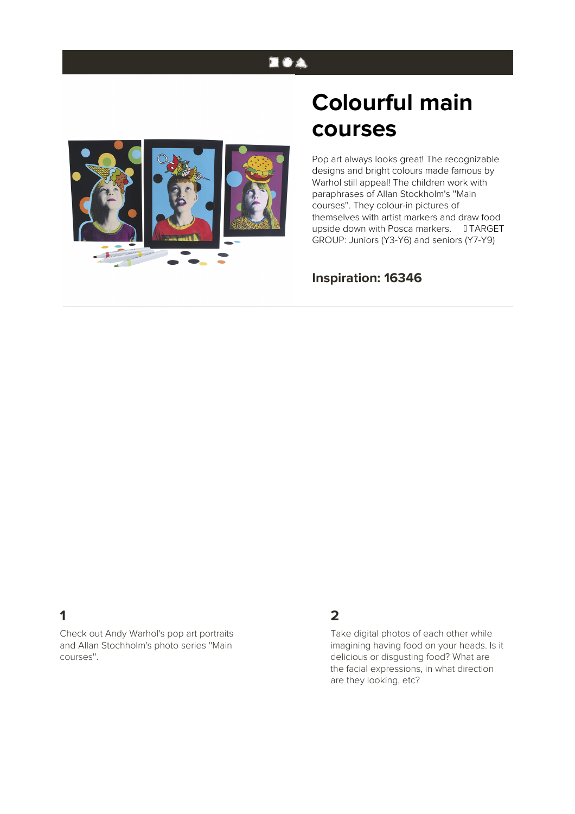# **EOA**



# **Colourful main courses**

Pop art always looks great! The recognizable designs and bright colours made famous by Warhol still appeal! The children work with paraphrases of Allan Stockholm's ''Main courses''. They colour-in pictures of themselves with artist markers and draw food upside down with Posca markers. TARGET GROUP: Juniors (Y3-Y6) and seniors (Y7-Y9)

#### **Inspiration: 16346**

## **1**

Check out Andy Warhol's pop art portraits and Allan Stochholm's photo series ''Main courses''.

#### **2**

Take digital photos of each other while imagining having food on your heads. Is it delicious or disgusting food? What are the facial expressions, in what direction are they looking, etc?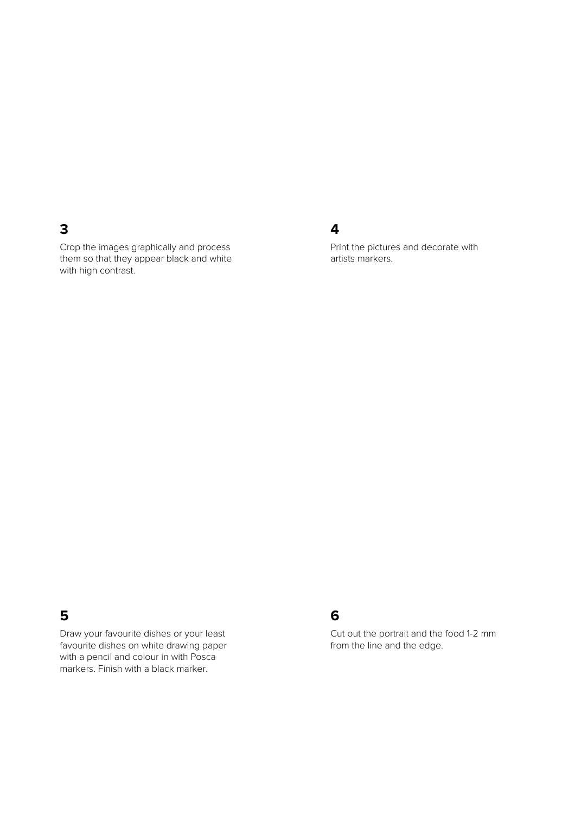### **3**

Crop the images graphically and process them so that they appear black and white with high contrast.

#### **4**

Print the pictures and decorate with artists markers.

#### **5**

Draw your favourite dishes or your least favourite dishes on white drawing paper with a pencil and colour in with Posca markers. Finish with a black marker.

#### **6**

Cut out the portrait and the food 1-2 mm from the line and the edge.